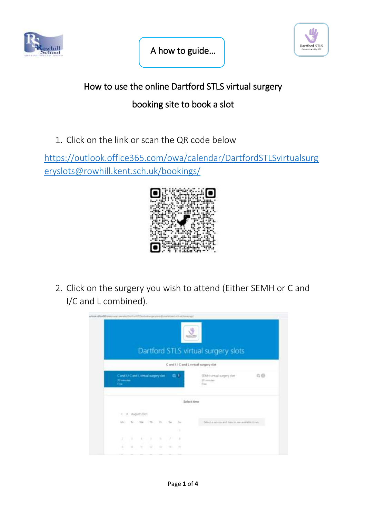

j



## How to use the online Dartford STLS virtual surgery

## booking site to book a slot

1. Click on the link or scan the QR code below

[https://outlook.office365.com/owa/calendar/DartfordSTLSvirtualsurg](https://outlook.office365.com/owa/calendar/DartfordSTLSvirtualsurgeryslots@rowhill.kent.sch.uk/bookings/) [eryslots@rowhill.kent.sch.uk/bookings/](https://outlook.office365.com/owa/calendar/DartfordSTLSvirtualsurgeryslots@rowhill.kent.sch.uk/bookings/)



2. Click on the surgery you wish to attend (Either SEMH or C and I/C and L combined).

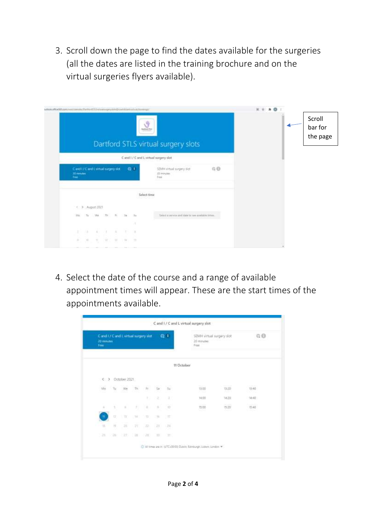3. Scroll down the page to find the dates available for the surgeries (all the dates are listed in the training brochure and on the virtual surgeries flyers available).

| which in the diffusion of the control of the control of the control of the control of the control of the control of the control of the control of the control of the control of the control of the control of the control of t |                                                      | Y<br><b>Tariford 2TLS</b>                                       | $\circ$<br><b>H T *</b> | Scroll<br>bar for |
|--------------------------------------------------------------------------------------------------------------------------------------------------------------------------------------------------------------------------------|------------------------------------------------------|-----------------------------------------------------------------|-------------------------|-------------------|
|                                                                                                                                                                                                                                |                                                      | Dartford STLS virtual surgery slots                             |                         | the page          |
|                                                                                                                                                                                                                                |                                                      | C and I / C and L virtual surgery slot                          |                         |                   |
| Cand I / Cand Lyintail surgery slot<br>20 minutes<br>feet.                                                                                                                                                                     | $42 - 47$                                            | 0.0<br>SD-04 virtual surgery slot<br><b>ITT</b> minutes<br>Feed |                         |                   |
|                                                                                                                                                                                                                                |                                                      | Select time<br>antara                                           |                         |                   |
| < > August 2021                                                                                                                                                                                                                |                                                      |                                                                 |                         |                   |
| Mid<br>Vira.<br>Tu.                                                                                                                                                                                                            | $T1+$<br>$\mathcal{L}_{\text{max}}$<br>n.<br>34<br>٠ | Taking a veryon and state to use available times.               |                         |                   |
| $41 - 23$<br>r.<br>78                                                                                                                                                                                                          | $\lambda$                                            |                                                                 |                         |                   |
| ÷.<br>n<br>$\mathcal{W}_1$                                                                                                                                                                                                     | $\rightarrow$<br>$\overline{\omega}$<br>TE.<br>1.347 |                                                                 |                         |                   |
| and all concerns and design and additional                                                                                                                                                                                     |                                                      |                                                                 |                         |                   |

4. Select the date of the course and a range of available appointment times will appear. These are the start times of the appointments available.

| Cland L/ Cland Livirtual surgery slot<br>20 mm.nec<br>Free |     |              |     |            |                | ●1                       | SEMH virtual surgery slot<br>20 minutes<br>Franc |                          | G O                             |  |
|------------------------------------------------------------|-----|--------------|-----|------------|----------------|--------------------------|--------------------------------------------------|--------------------------|---------------------------------|--|
|                                                            |     |              |     |            |                |                          | <b>IT October</b>                                |                          |                                 |  |
| $\sim$                                                     |     | October 2021 |     |            |                |                          |                                                  |                          |                                 |  |
| M <sub>0</sub><br>16 M                                     | Tu. | We.          | Th. | R.         | Ss.            | SU.                      | المتعادلة<br>13.00<br>- 63                       | mona<br>13:20<br>2021    | PERMIT<br>13.40<br><b>MAGES</b> |  |
|                                                            |     |              |     | <b>ICT</b> | ż              | а                        | 14:00                                            | 14:20:                   | 74:40                           |  |
| $\lambda$                                                  | ٤   | $\mathbb{R}$ | 21  | ×          | $\label{eq:3}$ | $\overleftrightarrow{D}$ | 31,000<br>1500<br>188                            | 20518<br>19:20<br>وتبرير | <b>CONSUL</b><br>15:40<br>いっこく  |  |
| m                                                          | 贷   | 'n           | 14  | n          | 76             | 文群                       |                                                  |                          |                                 |  |
| $\mathfrak{m}$                                             | 技   | 1999<br>21.  | 215 | 22.        | 28             | $-24$                    |                                                  |                          |                                 |  |
| 18                                                         | ≋   | zr.          | 2í  | (20)       | m              | 33                       |                                                  |                          |                                 |  |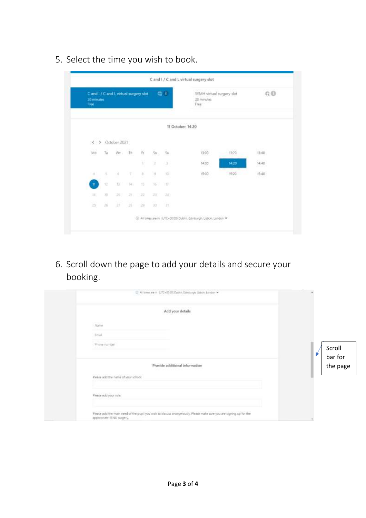5. Select the time you wish to book.

| C and I / C and L virtual surgery slot<br>20 minutes<br>Free |    |                  |        |                          |              | 后す                    | SEMH virtual surgery slot<br>20 minutes<br>Free: |             | @0               |
|--------------------------------------------------------------|----|------------------|--------|--------------------------|--------------|-----------------------|--------------------------------------------------|-------------|------------------|
|                                                              |    |                  |        |                          |              |                       | 11 October, 14:20                                |             |                  |
|                                                              |    | < > October 2021 |        |                          |              |                       |                                                  |             |                  |
| Mo                                                           | Tu | $We$ Th          |        | $\widetilde{\mathbb{R}}$ | œ.<br>$50 -$ | J.<br>$\overline{z}u$ | ಕುರಾ<br>13:00                                    | 13:20       | ES2075<br>13:40  |
|                                                              |    |                  |        | ÿ.                       | ä            | з                     | 14:00                                            | 14.20       | 14:40<br>1161.22 |
| $\alpha$                                                     | s  | ×                | 183    | ×                        | 冯            | 30.                   | 15:00<br>- - -                                   | 1520<br>n e | 15:40            |
| m.                                                           | 业  | Cial             | 34.1   | 业                        | 36           | (U)                   |                                                  |             |                  |
| 111                                                          | 荘  | 287              | 21     | 盆                        |              | 29 (124)              |                                                  |             |                  |
| 29                                                           | 06 | 27               | $20 -$ | 28                       | $30 - 31$    | 1.113                 |                                                  |             |                  |

6. Scroll down the page to add your details and secure your booking.

| T Al sines are in U/IC+00000 Duties, Edinburgh, Lisbon, London *                                                                                |                   |
|-------------------------------------------------------------------------------------------------------------------------------------------------|-------------------|
| Add your details                                                                                                                                |                   |
| Name                                                                                                                                            |                   |
| <b>Email</b>                                                                                                                                    |                   |
| Phone number                                                                                                                                    | Scroll<br>bar for |
| Provide additional information                                                                                                                  | the page          |
| Please add the name of your school.                                                                                                             |                   |
| Please add your role.                                                                                                                           |                   |
| Please add the main need of the pupil you wish to discuss anonymously. Please make sure you are signing up for the<br>appropriate SEND surgery. |                   |